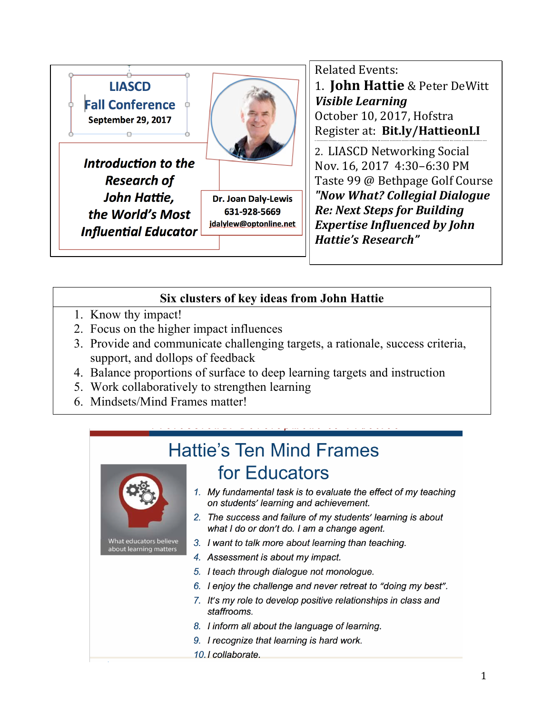

## **Related Events:**

1. **John Hattie** & Peter DeWitt *Visible Learning* October 10, 2017, Hofstra

Register at: **Bit.ly/HattieonLI** -------------------------------------------------------------------------------------------------------------------

2. LIASCD Networking Social Nov. 16, 2017 4:30–6:30 PM Taste 99 @ Bethpage Golf Course *"Now What? Collegial Dialogue Re: Next Steps for Building Expertise Influenced by John Hattie's Research"*

### **Six clusters of key ideas from John Hattie**

- 1. Know thy impact!
- 2. Focus on the higher impact influences
- 3. Provide and communicate challenging targets, a rationale, success criteria, support, and dollops of feedback
- 4. Balance proportions of surface to deep learning targets and instruction
- 5. Work collaboratively to strengthen learning
- 6. Mindsets/Mind Frames matter!

# **Hattie's Ten Mind Frames** for Educators



What educators believe about learning matters

- 1. My fundamental task is to evaluate the effect of my teaching on students' learning and achievement.
- 2. The success and failure of my students' learning is about what I do or don't do. I am a change agent.
- 3. I want to talk more about learning than teaching.
- 4. Assessment is about my impact.
- 5. I teach through dialogue not monologue.
- 6. I enjoy the challenge and never retreat to "doing my best".
- 7. It's my role to develop positive relationships in class and staffrooms.
- 8. I inform all about the language of learning.
- 9. I recognize that learning is hard work.
- 10.1 collaborate.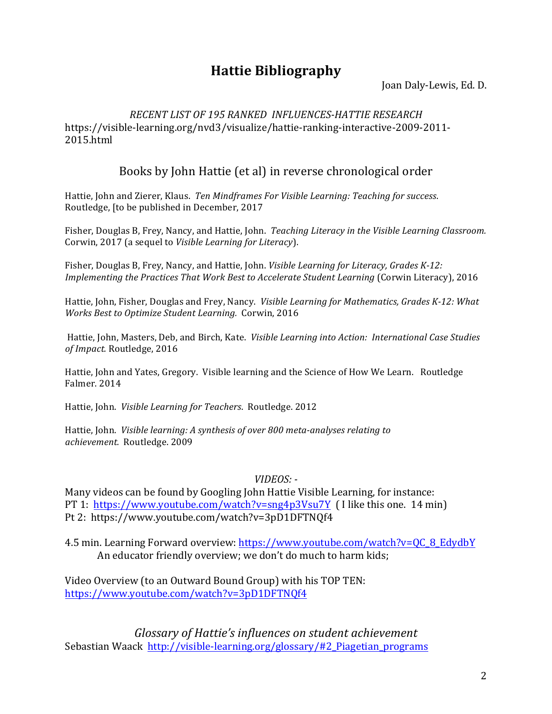# **Hattie Bibliography**

Joan Daly-Lewis, Ed. D.

#### *RECENT LIST OF 195 RANKED INFLUENCES-HATTIE RESEARCH* https://visible-learning.org/nvd3/visualize/hattie-ranking-interactive-2009-2011- 2015.html

# Books by John Hattie (et al) in reverse chronological order

Hattie, John and Zierer, Klaus. Ten Mindframes For Visible Learning: Teaching for success. Routledge, [to be published in December, 2017

Fisher, Douglas B, Frey, Nancy, and Hattie, John. *Teaching Literacy in the Visible Learning Classroom.* Corwin, 2017 (a sequel to *Visible Learning for Literacy*).

Fisher, Douglas B, Frey, Nancy, and Hattie, John. *Visible Learning for Literacy, Grades K-12: Implementing the Practices That Work Best to Accelerate Student Learning* (Corwin Literacy), 2016

Hattie, John, Fisher, Douglas and Frey, Nancy. *Visible Learning for Mathematics, Grades K-12: What Works Best to Optimize Student Learning.* Corwin, 2016

Hattie, John, Masters, Deb, and Birch, Kate. Visible Learning into Action: International Case Studies of Impact. Routledge, 2016

Hattie, John and Yates, Gregory. Visible learning and the Science of How We Learn. Routledge Falmer. 2014

Hattie, John. *Visible Learning for Teachers*. Routledge. 2012

Hattie, John. *Visible learning: A synthesis of over 800 meta-analyses relating to achievement.* Routledge. 2009 

#### *VIDEOS:* -

Many videos can be found by Googling John Hattie Visible Learning, for instance: PT 1:  $\frac{https://www.youtube.com/watch?v=sng4p3Vsu7Y}{https://www.youtube.com/watch?v=sng4p3Vsu7Y}$  (I like this one. 14 min) Pt 2: https://www.youtube.com/watch?v=3pD1DFTNQf4

4.5 min. Learning Forward overview: https://www.youtube.com/watch?v=QC\_8\_EdydbY An educator friendly overview; we don't do much to harm kids;

Video Overview (to an Outward Bound Group) with his TOP TEN: https://www.youtube.com/watch?v=3pD1DFTNQf4 

Glossary of Hattie's influences on student achievement Sebastian Waack http://visible-learning.org/glossary/#2 Piagetian programs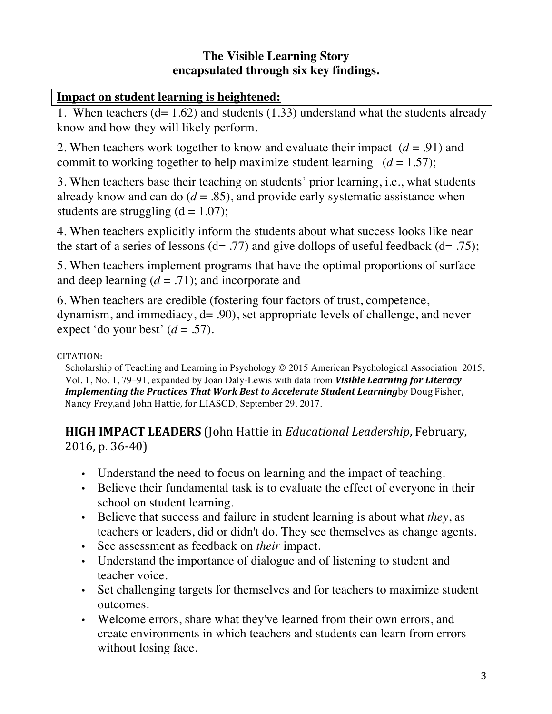# **The Visible Learning Story encapsulated through six key findings.**

# **Impact on student learning is heightened:**

1. When teachers (d= 1.62) and students (1.33) understand what the students already know and how they will likely perform.

2. When teachers work together to know and evaluate their impact  $(d = .91)$  and commit to working together to help maximize student learning  $(d = 1.57)$ ;

3. When teachers base their teaching on students' prior learning, i.e., what students already know and can do  $(d = .85)$ , and provide early systematic assistance when students are struggling  $(d = 1.07)$ ;

4. When teachers explicitly inform the students about what success looks like near the start of a series of lessons  $(d= .77)$  and give dollops of useful feedback  $(d= .75)$ ;

5. When teachers implement programs that have the optimal proportions of surface and deep learning  $(d = .71)$ ; and incorporate and

6. When teachers are credible (fostering four factors of trust, competence, dynamism, and immediacy, d= .90), set appropriate levels of challenge, and never expect 'do your best'  $(d = .57)$ .

### CITATION:

Scholarship of Teaching and Learning in Psychology © 2015 American Psychological Association 2015, Vol. 1, No. 1, 79–91, expanded by Joan Daly-Lewis with data from **Visible Learning for Literacy** *Implementing the Practices That Work Best to Accelerate Student Learningby Doug Fisher,* Nancy Frey, and John Hattie, for LIASCD, September 29. 2017.

**HIGH IMPACT LEADERS** (John Hattie in *Educational Leadership*, February,  $2016$ , p.  $36-40$ 

- Understand the need to focus on learning and the impact of teaching.
- Believe their fundamental task is to evaluate the effect of everyone in their school on student learning.
- Believe that success and failure in student learning is about what *they*, as teachers or leaders, did or didn't do. They see themselves as change agents.
- See assessment as feedback on *their* impact.
- Understand the importance of dialogue and of listening to student and teacher voice.
- Set challenging targets for themselves and for teachers to maximize student outcomes.
- Welcome errors, share what they've learned from their own errors, and create environments in which teachers and students can learn from errors without losing face.